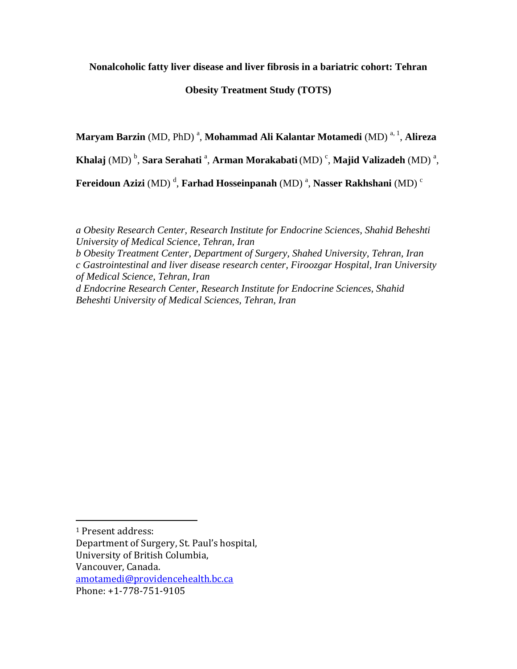**Nonalcoholic fatty liver disease and liver fibrosis in a bariatric cohort: Tehran** 

## **Obesity Treatment Study (TOTS)**

**Maryam Barzin** (MD, PhD) <sup>a</sup>, **Mohammad Ali Kalantar Motamedi** (MD) <sup>a, 1</sup>, **Alireza** 

**Khalaj** (MD)  $^{\rm b}$ , **Sara Serahati** <sup>a</sup>, **Arman Morakabati** (MD) <sup>c</sup>, **Majid Valizadeh** (MD) <sup>a</sup>,

**Fereidoun Azizi** (MD) <sup>d</sup>, **Farhad Hosseinpanah** (MD) <sup>a</sup>, **Nasser Rakhshani** (MD) <sup>c</sup>

*a Obesity Research Center, Research Institute for Endocrine Sciences, Shahid Beheshti University of Medical Science, Tehran, Iran* 

*b Obesity Treatment Center, Department of Surgery, Shahed University, Tehran, Iran c Gastrointestinal and liver disease research center, Firoozgar Hospital, Iran University of Medical Science, Tehran, Iran* 

*d Endocrine Research Center, Research Institute for Endocrine Sciences, Shahid Beheshti University of Medical Sciences, Tehran, Iran*

 $\overline{a}$ 

Department of Surgery, St. Paul's hospital, University of British Columbia, Vancouver, Canada. [amotamedi@providencehealth.bc.ca](mailto:amotamedi@providencehealth.bc.ca)

<sup>1</sup> Present address:

Phone: +1-778-751-9105